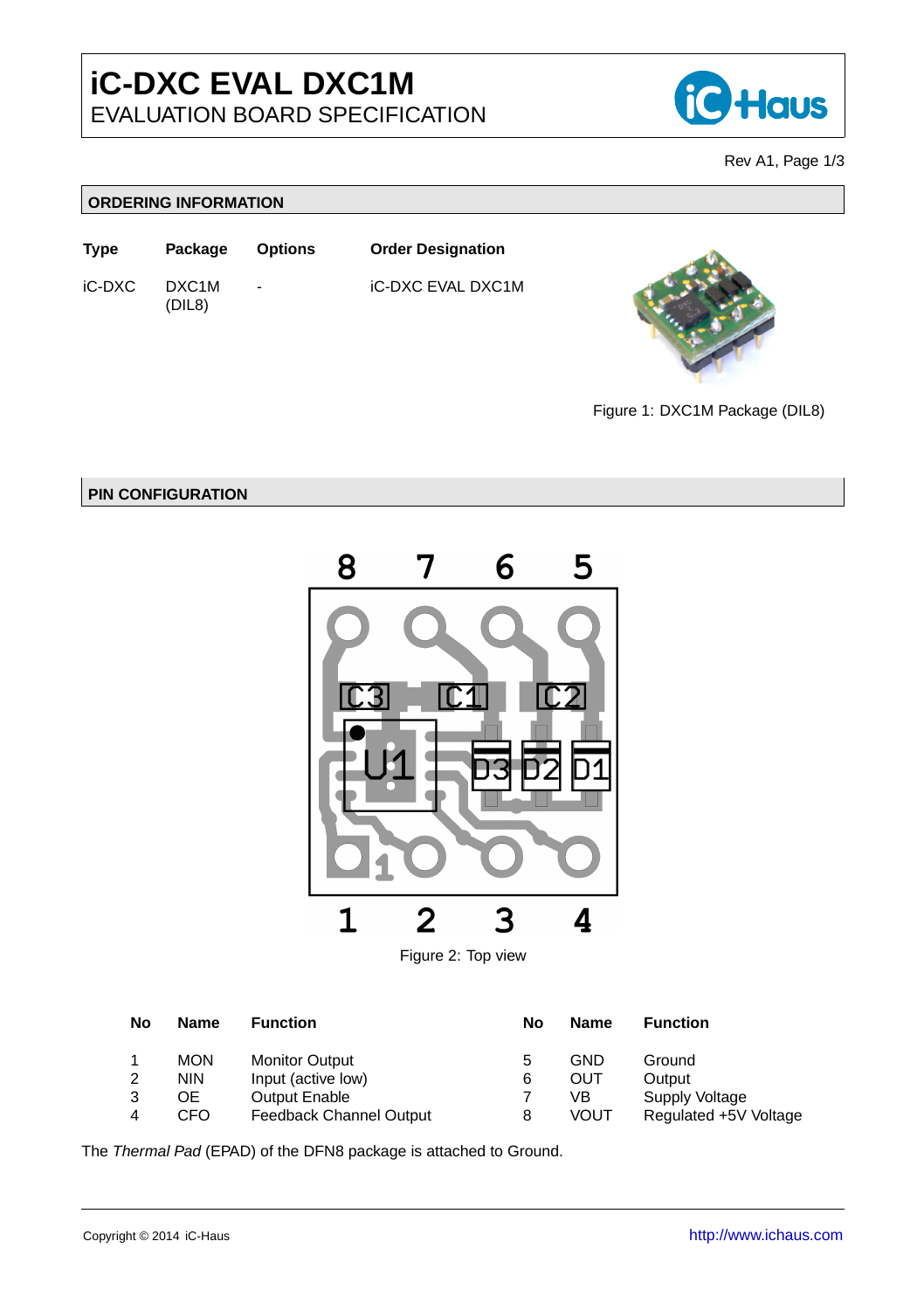

Rev A1, Page 1[/3](#page-2-0)

## **ORDERING INFORMATION**





Figure 1: DXC1M Package (DIL8)

## **PIN CONFIGURATION**





| No | <b>Name</b> | <b>Function</b>         | No | <b>Name</b> | <b>Function</b>       |
|----|-------------|-------------------------|----|-------------|-----------------------|
|    | <b>MON</b>  | <b>Monitor Output</b>   | 5  | <b>GND</b>  | Ground                |
| 2  | <b>NIN</b>  | Input (active low)      | 6  | OUT         | Output                |
|    | OЕ          | <b>Output Enable</b>    |    | VB          | Supply Voltage        |
|    | CFO         | Feedback Channel Output | 8  | <b>VOUT</b> | Regulated +5V Voltage |

The *Thermal Pad* (EPAD) of the DFN8 package is attached to Ground.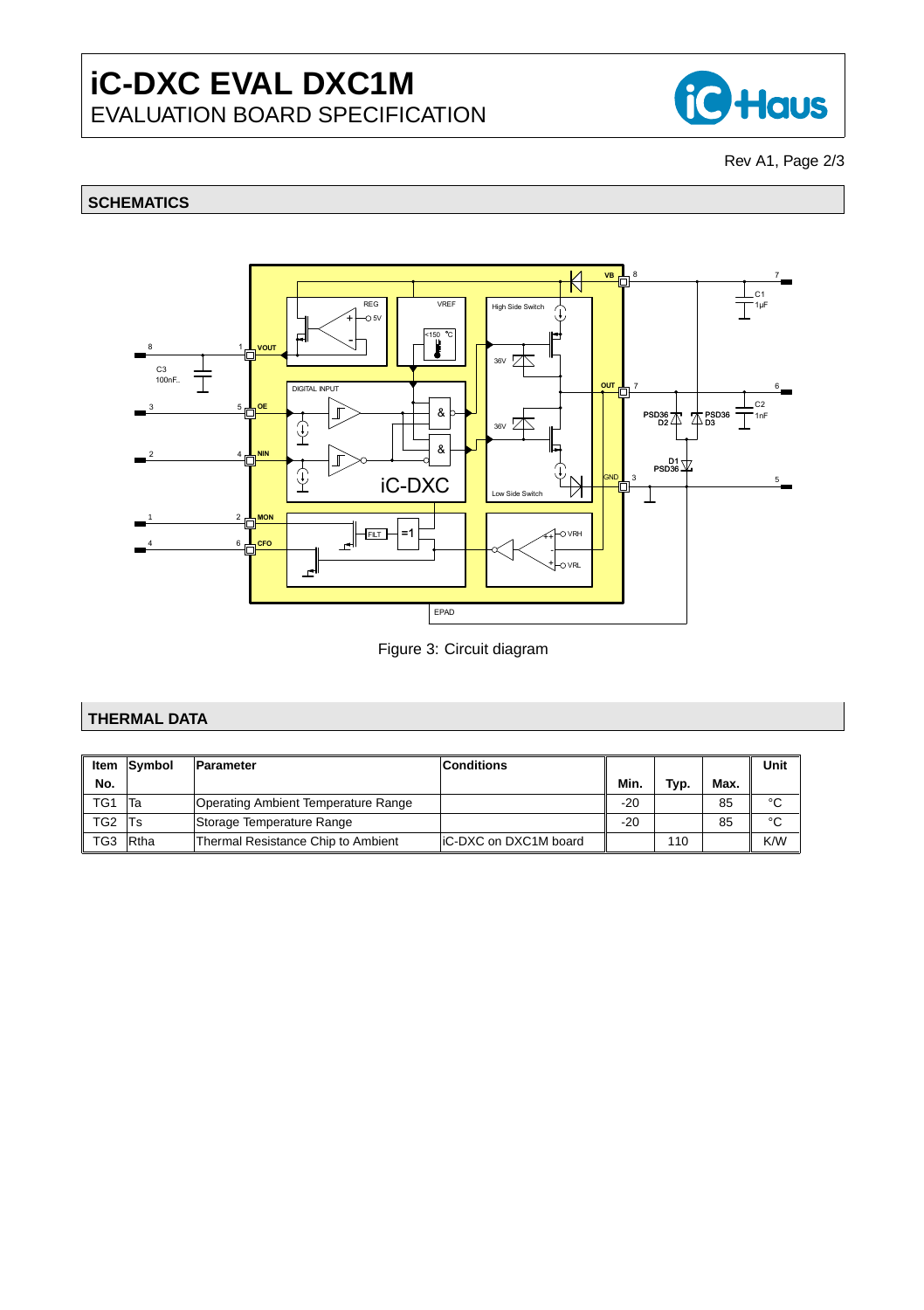

Rev A1, Page 2[/3](#page-2-0)

# **SCHEMATICS**



Figure 3: Circuit diagram

## **THERMAL DATA**

|                 | Item Symbol  | Parameter                           | <b>Conditions</b>     |       |      |      | Unit |
|-----------------|--------------|-------------------------------------|-----------------------|-------|------|------|------|
| No.             |              |                                     |                       | Min.  | Typ. | Max. |      |
| TG1             | Та           | Operating Ambient Temperature Range |                       | $-20$ |      | 85   | °C   |
| TG <sub>2</sub> | Ts           | Storage Temperature Range           |                       | -20   |      | 85   | °C   |
| TG3             | <b>R</b> tha | Thermal Resistance Chip to Ambient  | IC-DXC on DXC1M board |       | 110  |      | K/W  |